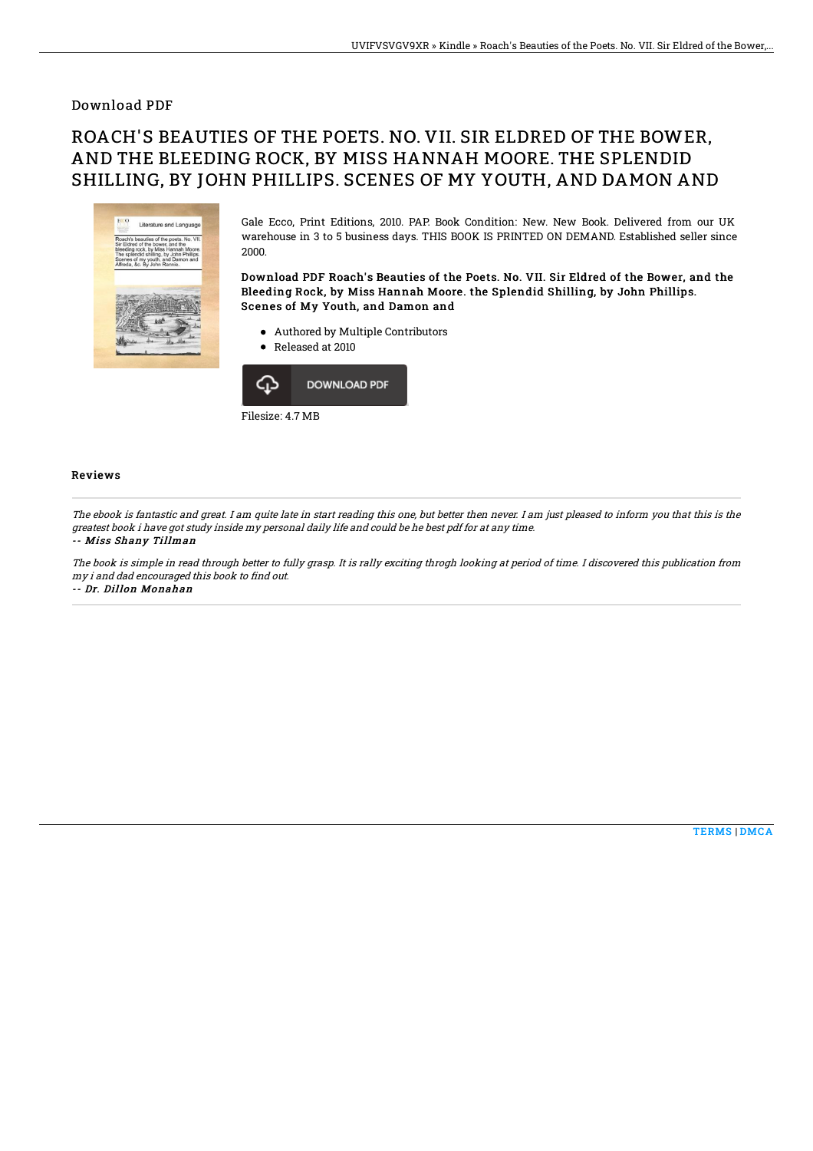### Download PDF

# ROACH'S BEAUTIES OF THE POETS. NO. VII. SIR ELDRED OF THE BOWER, AND THE BLEEDING ROCK, BY MISS HANNAH MOORE. THE SPLENDID SHILLING, BY JOHN PHILLIPS. SCENES OF MY YOUTH, AND DAMON AND



Gale Ecco, Print Editions, 2010. PAP. Book Condition: New. New Book. Delivered from our UK warehouse in 3 to 5 business days. THIS BOOK IS PRINTED ON DEMAND. Established seller since 2000.

Download PDF Roach's Beauties of the Poets. No. VII. Sir Eldred of the Bower, and the Bleeding Rock, by Miss Hannah Moore. the Splendid Shilling, by John Phillips. Scenes of My Youth, and Damon and

- Authored by Multiple Contributors
- Released at 2010



#### Reviews

The ebook is fantastic and great. I am quite late in start reading this one, but better then never. I am just pleased to inform you that this is the greatest book i have got study inside my personal daily life and could be he best pdf for at any time.

#### -- Miss Shany Tillman

The book is simple in read through better to fully grasp. It is rally exciting throgh looking at period of time. I discovered this publication from my i and dad encouraged this book to find out. -- Dr. Dillon Monahan